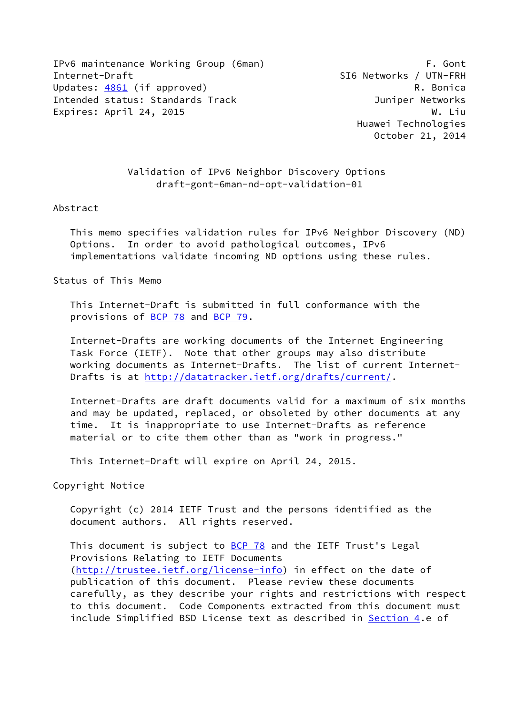IPv6 maintenance Working Group (6man) F. Gont Internet-Draft SI6 Networks / UTN-FRH Updates: [4861](https://datatracker.ietf.org/doc/pdf/rfc4861) (if approved) Contract Contract Contract R. Bonica Intended status: Standards Track and a status Juniper Networks Expires: April 24, 2015 W. Liu

 Validation of IPv6 Neighbor Discovery Options draft-gont-6man-nd-opt-validation-01

### Abstract

 This memo specifies validation rules for IPv6 Neighbor Discovery (ND) Options. In order to avoid pathological outcomes, IPv6 implementations validate incoming ND options using these rules.

Status of This Memo

 This Internet-Draft is submitted in full conformance with the provisions of [BCP 78](https://datatracker.ietf.org/doc/pdf/bcp78) and [BCP 79](https://datatracker.ietf.org/doc/pdf/bcp79).

 Internet-Drafts are working documents of the Internet Engineering Task Force (IETF). Note that other groups may also distribute working documents as Internet-Drafts. The list of current Internet Drafts is at<http://datatracker.ietf.org/drafts/current/>.

 Internet-Drafts are draft documents valid for a maximum of six months and may be updated, replaced, or obsoleted by other documents at any time. It is inappropriate to use Internet-Drafts as reference material or to cite them other than as "work in progress."

This Internet-Draft will expire on April 24, 2015.

Copyright Notice

 Copyright (c) 2014 IETF Trust and the persons identified as the document authors. All rights reserved.

This document is subject to **[BCP 78](https://datatracker.ietf.org/doc/pdf/bcp78)** and the IETF Trust's Legal Provisions Relating to IETF Documents [\(http://trustee.ietf.org/license-info](http://trustee.ietf.org/license-info)) in effect on the date of publication of this document. Please review these documents carefully, as they describe your rights and restrictions with respect to this document. Code Components extracted from this document must include Simplified BSD License text as described in [Section 4.](#page-3-0)e of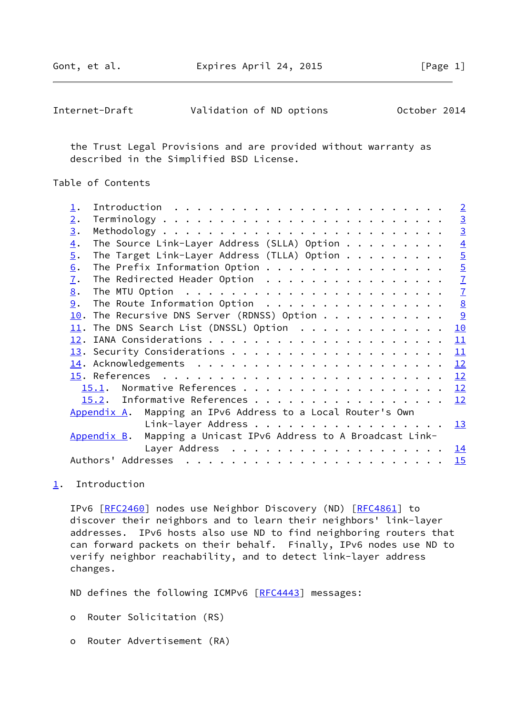Gont, et al. Expires April 24, 2015 [Page 1]

<span id="page-1-1"></span>

| Internet-Draft | Validation of ND options |  |  | October 2014 |  |
|----------------|--------------------------|--|--|--------------|--|
|----------------|--------------------------|--|--|--------------|--|

 the Trust Legal Provisions and are provided without warranty as described in the Simplified BSD License.

Table of Contents

| $\perp$ .        |                                                                 | $\overline{2}$ |
|------------------|-----------------------------------------------------------------|----------------|
| 2.               |                                                                 | $\overline{3}$ |
| 3.               |                                                                 | $\overline{3}$ |
| $\overline{4}$ . | The Source Link-Layer Address (SLLA) Option $\dots \dots \dots$ | $\overline{4}$ |
| 5.               | The Target Link-Layer Address (TLLA) Option $\ldots$            | $\overline{5}$ |
| 6.               |                                                                 | $\overline{5}$ |
| 7.               | The Redirected Header Option                                    | $\overline{1}$ |
| 8.               |                                                                 | $\overline{1}$ |
| 9.               | The Route Information Option                                    | $\frac{8}{2}$  |
| 10.              | The Recursive DNS Server (RDNSS) Option                         | $\overline{9}$ |
| 11.              | The DNS Search List (DNSSL) Option $\cdots$                     | 10             |
| 12.              |                                                                 | 11             |
|                  |                                                                 | 11             |
|                  |                                                                 | 12             |
|                  |                                                                 | 12             |
|                  | 15.1.                                                           | 12             |
|                  | 15.2. Informative References                                    | 12             |
|                  | Mapping an IPv6 Address to a Local Router's Own<br>Appendix A.  |                |
|                  | Link-layer Address                                              | 13             |
|                  | Appendix B. Mapping a Unicast IPv6 Address to A Broadcast Link- |                |
|                  |                                                                 | <u> 14</u>     |
|                  |                                                                 | 15             |
|                  |                                                                 |                |

# <span id="page-1-0"></span>[1](#page-1-0). Introduction

IPv6 [\[RFC2460](https://datatracker.ietf.org/doc/pdf/rfc2460)] nodes use Neighbor Discovery (ND) [\[RFC4861](https://datatracker.ietf.org/doc/pdf/rfc4861)] to discover their neighbors and to learn their neighbors' link-layer addresses. IPv6 hosts also use ND to find neighboring routers that can forward packets on their behalf. Finally, IPv6 nodes use ND to verify neighbor reachability, and to detect link-layer address changes.

ND defines the following ICMPv6 [\[RFC4443](https://datatracker.ietf.org/doc/pdf/rfc4443)] messages:

- o Router Solicitation (RS)
- o Router Advertisement (RA)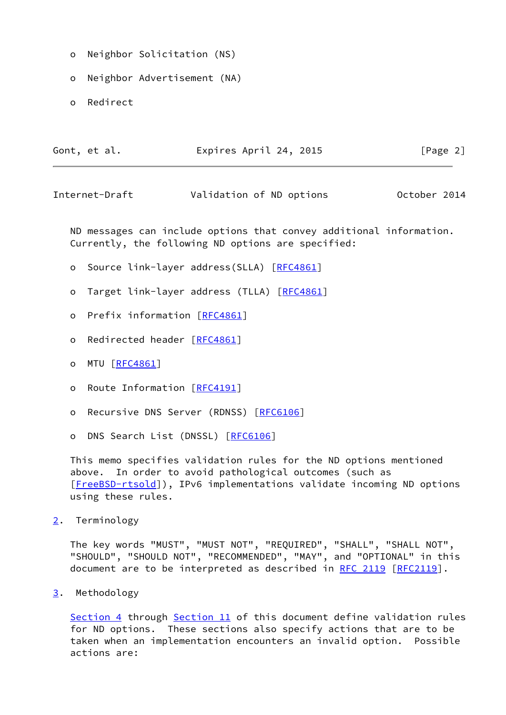- o Neighbor Solicitation (NS)
- o Neighbor Advertisement (NA)
- o Redirect

| Gont, et al. | Expires April 24, 2015 | [Page 2] |
|--------------|------------------------|----------|
|--------------|------------------------|----------|

<span id="page-2-1"></span>Internet-Draft Validation of ND options October 2014

 ND messages can include options that convey additional information. Currently, the following ND options are specified:

- o Source link-layer address(SLLA) [[RFC4861\]](https://datatracker.ietf.org/doc/pdf/rfc4861)
- o Target link-layer address (TLLA) [\[RFC4861](https://datatracker.ietf.org/doc/pdf/rfc4861)]
- o Prefix information [[RFC4861](https://datatracker.ietf.org/doc/pdf/rfc4861)]
- o Redirected header [\[RFC4861](https://datatracker.ietf.org/doc/pdf/rfc4861)]
- o MTU [\[RFC4861](https://datatracker.ietf.org/doc/pdf/rfc4861)]
- o Route Information [\[RFC4191](https://datatracker.ietf.org/doc/pdf/rfc4191)]
- o Recursive DNS Server (RDNSS) [\[RFC6106](https://datatracker.ietf.org/doc/pdf/rfc6106)]
- o DNS Search List (DNSSL) [[RFC6106\]](https://datatracker.ietf.org/doc/pdf/rfc6106)

 This memo specifies validation rules for the ND options mentioned above. In order to avoid pathological outcomes (such as [\[FreeBSD-rtsold](#page-13-3)]), IPv6 implementations validate incoming ND options using these rules.

<span id="page-2-0"></span>[2](#page-2-0). Terminology

 The key words "MUST", "MUST NOT", "REQUIRED", "SHALL", "SHALL NOT", "SHOULD", "SHOULD NOT", "RECOMMENDED", "MAY", and "OPTIONAL" in this document are to be interpreted as described in [RFC 2119 \[RFC2119](https://datatracker.ietf.org/doc/pdf/rfc2119)].

<span id="page-2-2"></span>[3](#page-2-2). Methodology

 [Section 4](#page-3-0) through [Section 11](#page-11-0) of this document define validation rules for ND options. These sections also specify actions that are to be taken when an implementation encounters an invalid option. Possible actions are: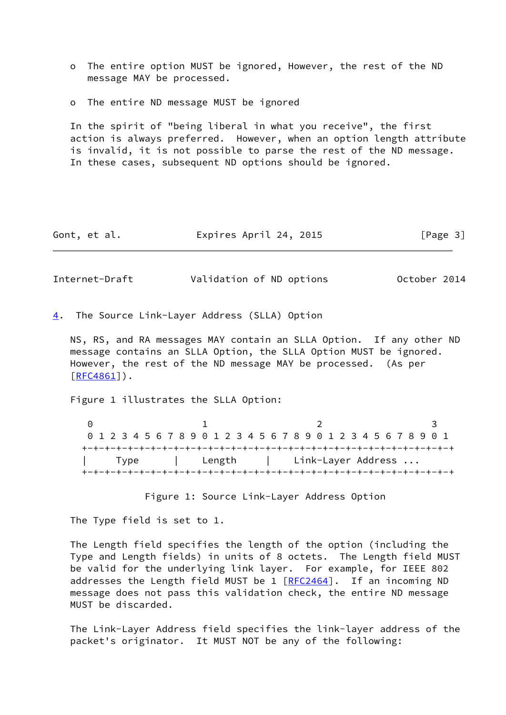- o The entire option MUST be ignored, However, the rest of the ND message MAY be processed.
- o The entire ND message MUST be ignored

 In the spirit of "being liberal in what you receive", the first action is always preferred. However, when an option length attribute is invalid, it is not possible to parse the rest of the ND message. In these cases, subsequent ND options should be ignored.

Gont, et al. Expires April 24, 2015 [Page 3]

<span id="page-3-1"></span>Internet-Draft Validation of ND options October 2014

<span id="page-3-0"></span>[4](#page-3-0). The Source Link-Layer Address (SLLA) Option

 NS, RS, and RA messages MAY contain an SLLA Option. If any other ND message contains an SLLA Option, the SLLA Option MUST be ignored. However, the rest of the ND message MAY be processed. (As per  $[RFC4861]$  $[RFC4861]$ .

Figure 1 illustrates the SLLA Option:

0 1 2 3 0 1 2 3 4 5 6 7 8 9 0 1 2 3 4 5 6 7 8 9 0 1 2 3 4 5 6 7 8 9 0 1 +-+-+-+-+-+-+-+-+-+-+-+-+-+-+-+-+-+-+-+-+-+-+-+-+-+-+-+-+-+-+-+-+ | Type | Length | Link-Layer Address ... +-+-+-+-+-+-+-+-+-+-+-+-+-+-+-+-+-+-+-+-+-+-+-+-+-+-+-+-+-+-+-+-+

Figure 1: Source Link-Layer Address Option

The Type field is set to 1.

 The Length field specifies the length of the option (including the Type and Length fields) in units of 8 octets. The Length field MUST be valid for the underlying link layer. For example, for IEEE 802 addresses the Length field MUST be 1 [\[RFC2464](https://datatracker.ietf.org/doc/pdf/rfc2464)]. If an incoming ND message does not pass this validation check, the entire ND message MUST be discarded.

 The Link-Layer Address field specifies the link-layer address of the packet's originator. It MUST NOT be any of the following: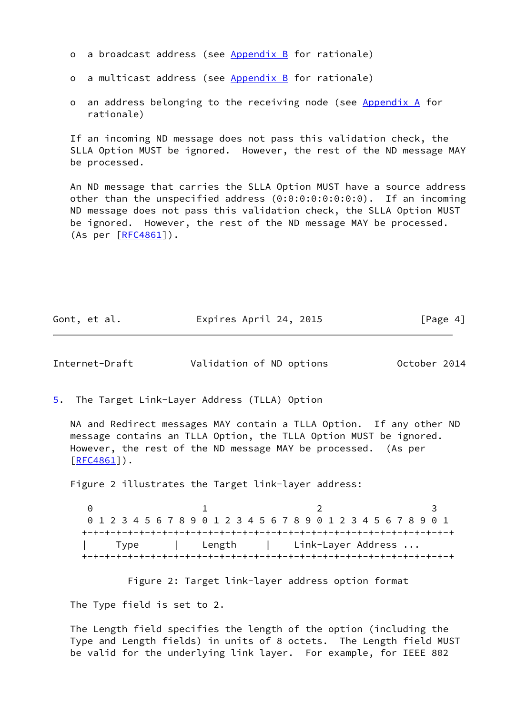- o a broadcast address (see [Appendix B](#page-14-0) for rationale)
- o a multicast address (see [Appendix B](#page-14-0) for rationale)
- o an address belonging to the receiving node (see [Appendix A](#page-13-1) for rationale)

 If an incoming ND message does not pass this validation check, the SLLA Option MUST be ignored. However, the rest of the ND message MAY be processed.

 An ND message that carries the SLLA Option MUST have a source address other than the unspecified address (0:0:0:0:0:0:0:0). If an incoming ND message does not pass this validation check, the SLLA Option MUST be ignored. However, the rest of the ND message MAY be processed. (As per [\[RFC4861](https://datatracker.ietf.org/doc/pdf/rfc4861)]).

| Gont, et al. | Expires April 24, 2015 | [Page 4] |
|--------------|------------------------|----------|
|--------------|------------------------|----------|

<span id="page-4-1"></span>Internet-Draft Validation of ND options October 2014

<span id="page-4-0"></span>[5](#page-4-0). The Target Link-Layer Address (TLLA) Option

 NA and Redirect messages MAY contain a TLLA Option. If any other ND message contains an TLLA Option, the TLLA Option MUST be ignored. However, the rest of the ND message MAY be processed. (As per [\[RFC4861](https://datatracker.ietf.org/doc/pdf/rfc4861)]).

Figure 2 illustrates the Target link-layer address:

0 1 2 3 0 1 2 3 4 5 6 7 8 9 0 1 2 3 4 5 6 7 8 9 0 1 2 3 4 5 6 7 8 9 0 1 +-+-+-+-+-+-+-+-+-+-+-+-+-+-+-+-+-+-+-+-+-+-+-+-+-+-+-+-+-+-+-+-+ | Type | Length | Link-Layer Address ... +-+-+-+-+-+-+-+-+-+-+-+-+-+-+-+-+-+-+-+-+-+-+-+-+-+-+-+-+-+-+-+-+

Figure 2: Target link-layer address option format

The Type field is set to 2.

 The Length field specifies the length of the option (including the Type and Length fields) in units of 8 octets. The Length field MUST be valid for the underlying link layer. For example, for IEEE 802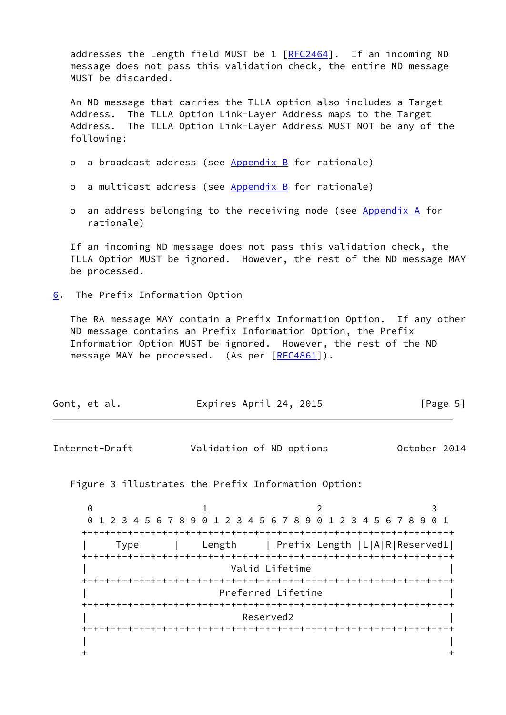addresses the Length field MUST be 1 [\[RFC2464](https://datatracker.ietf.org/doc/pdf/rfc2464)]. If an incoming ND message does not pass this validation check, the entire ND message MUST be discarded.

 An ND message that carries the TLLA option also includes a Target Address. The TLLA Option Link-Layer Address maps to the Target Address. The TLLA Option Link-Layer Address MUST NOT be any of the following:

- o a broadcast address (see [Appendix B](#page-14-0) for rationale)
- o a multicast address (see [Appendix B](#page-14-0) for rationale)
- o an address belonging to the receiving node (see [Appendix A](#page-13-1) for rationale)

 If an incoming ND message does not pass this validation check, the TLLA Option MUST be ignored. However, the rest of the ND message MAY be processed.

<span id="page-5-0"></span>[6](#page-5-0). The Prefix Information Option

 The RA message MAY contain a Prefix Information Option. If any other ND message contains an Prefix Information Option, the Prefix Information Option MUST be ignored. However, the rest of the ND message MAY be processed. (As per [[RFC4861\]](https://datatracker.ietf.org/doc/pdf/rfc4861)).

| Expires April 24, 2015<br>Gont, et al. | [Page 5] |
|----------------------------------------|----------|
|----------------------------------------|----------|

Internet-Draft Validation of ND options October 2014

Figure 3 illustrates the Prefix Information Option:

0 1 2 3 0 1 2 3 4 5 6 7 8 9 0 1 2 3 4 5 6 7 8 9 0 1 2 3 4 5 6 7 8 9 0 1 +-+-+-+-+-+-+-+-+-+-+-+-+-+-+-+-+-+-+-+-+-+-+-+-+-+-+-+-+-+-+-+-+ | Type | Length | Prefix Length |L|A|R|Reserved1| +-+-+-+-+-+-+-+-+-+-+-+-+-+-+-+-+-+-+-+-+-+-+-+-+-+-+-+-+-+-+-+-+ Valid Lifetime +-+-+-+-+-+-+-+-+-+-+-+-+-+-+-+-+-+-+-+-+-+-+-+-+-+-+-+-+-+-+-+-+ | Preferred Lifetime | +-+-+-+-+-+-+-+-+-+-+-+-+-+-+-+-+-+-+-+-+-+-+-+-+-+-+-+-+-+-+-+-+ Reserved2 +-+-+-+-+-+-+-+-+-+-+-+-+-+-+-+-+-+-+-+-+-+-+-+-+-+-+-+-+-+-+-+-+ | |  $+$  +  $+$  +  $+$  +  $+$  +  $+$  +  $+$  +  $+$  +  $+$  +  $+$  +  $+$  +  $+$  +  $+$  +  $+$  +  $+$  +  $+$  +  $+$  +  $+$  +  $+$  +  $+$  +  $+$  +  $+$  +  $+$  +  $+$  +  $+$  +  $+$  +  $+$  +  $+$  +  $+$  +  $+$  +  $+$  +  $+$  +  $+$  +  $+$  +  $+$  +  $+$  +  $+$  +  $+$  +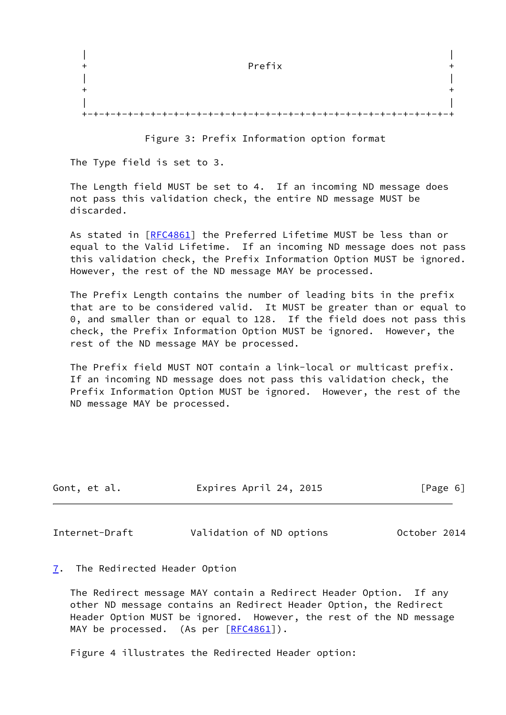|  | Prefix                                     |  |
|--|--------------------------------------------|--|
|  |                                            |  |
|  |                                            |  |
|  |                                            |  |
|  | .-+-+-+-+-+-+-+<br>.+-+-+-+-+-+-+-+-+-+-+- |  |

Figure 3: Prefix Information option format

The Type field is set to 3.

 The Length field MUST be set to 4. If an incoming ND message does not pass this validation check, the entire ND message MUST be discarded.

 As stated in [\[RFC4861](https://datatracker.ietf.org/doc/pdf/rfc4861)] the Preferred Lifetime MUST be less than or equal to the Valid Lifetime. If an incoming ND message does not pass this validation check, the Prefix Information Option MUST be ignored. However, the rest of the ND message MAY be processed.

 The Prefix Length contains the number of leading bits in the prefix that are to be considered valid. It MUST be greater than or equal to 0, and smaller than or equal to 128. If the field does not pass this check, the Prefix Information Option MUST be ignored. However, the rest of the ND message MAY be processed.

 The Prefix field MUST NOT contain a link-local or multicast prefix. If an incoming ND message does not pass this validation check, the Prefix Information Option MUST be ignored. However, the rest of the ND message MAY be processed.

| Gont, et al. | Expires April 24, 2015 | [Page 6] |
|--------------|------------------------|----------|
|              |                        |          |

<span id="page-6-1"></span>Internet-Draft Validation of ND options October 2014

### <span id="page-6-0"></span>[7](#page-6-0). The Redirected Header Option

 The Redirect message MAY contain a Redirect Header Option. If any other ND message contains an Redirect Header Option, the Redirect Header Option MUST be ignored. However, the rest of the ND message MAY be processed. (As per [[RFC4861\]](https://datatracker.ietf.org/doc/pdf/rfc4861)).

Figure 4 illustrates the Redirected Header option: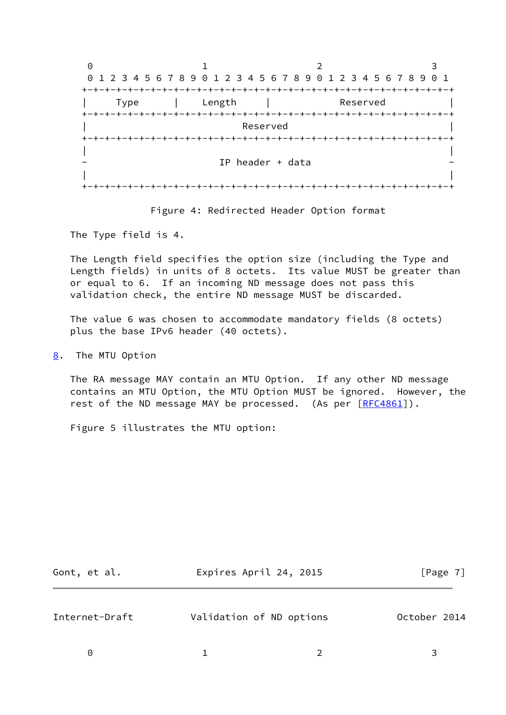0 1 2 3 0 1 2 3 4 5 6 7 8 9 0 1 2 3 4 5 6 7 8 9 0 1 2 3 4 5 6 7 8 9 0 1 +-+-+-+-+-+-+-+-+-+-+-+-+-+-+-+-+-+-+-+-+-+-+-+-+-+-+-+-+-+-+-+-+ Type | Length | Reserved +-+-+-+-+-+-+-+-+-+-+-+-+-+-+-+-+-+-+-+-+-+-+-+-+-+-+-+-+-+-+-+-+ | Reserved | +-+-+-+-+-+-+-+-+-+-+-+-+-+-+-+-+-+-+-+-+-+-+-+-+-+-+-+-+-+-+-+-+ | | IP header  $+$  data | | +-+-+-+-+-+-+-+-+-+-+-+-+-+-+-+-+-+-+-+-+-+-+-+-+-+-+-+-+-+-+-+-+



The Type field is 4.

 The Length field specifies the option size (including the Type and Length fields) in units of 8 octets. Its value MUST be greater than or equal to 6. If an incoming ND message does not pass this validation check, the entire ND message MUST be discarded.

 The value 6 was chosen to accommodate mandatory fields (8 octets) plus the base IPv6 header (40 octets).

<span id="page-7-0"></span>[8](#page-7-0). The MTU Option

 The RA message MAY contain an MTU Option. If any other ND message contains an MTU Option, the MTU Option MUST be ignored. However, the rest of the ND message MAY be processed. (As per [[RFC4861](https://datatracker.ietf.org/doc/pdf/rfc4861)]).

Figure 5 illustrates the MTU option:

<span id="page-7-1"></span>

| Expires April 24, 2015<br>Gont, et al. |                          | [Page 7]     |  |
|----------------------------------------|--------------------------|--------------|--|
| Internet-Draft                         | Validation of ND options | October 2014 |  |
| $\Theta$                               |                          |              |  |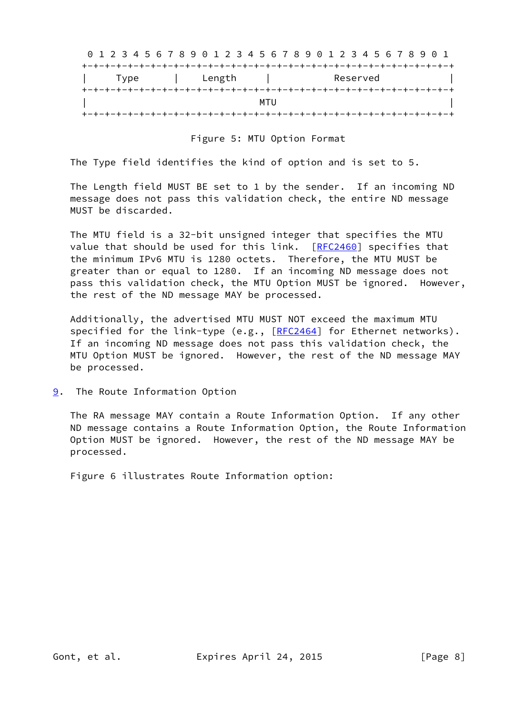|      | 0 1 2 3 4 5 6 7 8 9 0 1 2 3 4 5 6 7 8 9 0 1 2 3 4 5 6 7 8 9 0 1 |     |          |  |
|------|-----------------------------------------------------------------|-----|----------|--|
|      |                                                                 |     |          |  |
| Type | Length                                                          |     | Reserved |  |
|      |                                                                 |     |          |  |
|      |                                                                 | MTU |          |  |
|      |                                                                 |     |          |  |

Figure 5: MTU Option Format

The Type field identifies the kind of option and is set to 5.

 The Length field MUST BE set to 1 by the sender. If an incoming ND message does not pass this validation check, the entire ND message MUST be discarded.

 The MTU field is a 32-bit unsigned integer that specifies the MTU value that should be used for this link. [[RFC2460](https://datatracker.ietf.org/doc/pdf/rfc2460)] specifies that the minimum IPv6 MTU is 1280 octets. Therefore, the MTU MUST be greater than or equal to 1280. If an incoming ND message does not pass this validation check, the MTU Option MUST be ignored. However, the rest of the ND message MAY be processed.

 Additionally, the advertised MTU MUST NOT exceed the maximum MTU specified for the link-type (e.g.,  $[REC2464]$  for Ethernet networks). If an incoming ND message does not pass this validation check, the MTU Option MUST be ignored. However, the rest of the ND message MAY be processed.

<span id="page-8-0"></span>[9](#page-8-0). The Route Information Option

 The RA message MAY contain a Route Information Option. If any other ND message contains a Route Information Option, the Route Information Option MUST be ignored. However, the rest of the ND message MAY be processed.

Figure 6 illustrates Route Information option: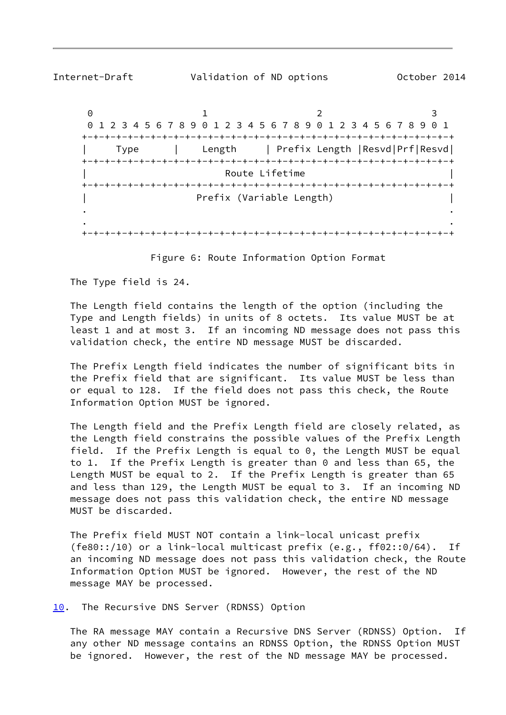<span id="page-9-1"></span>

Internet-Draft Validation of ND options October 2014

0 1 2 3 0 1 2 3 4 5 6 7 8 9 0 1 2 3 4 5 6 7 8 9 0 1 2 3 4 5 6 7 8 9 0 1 +-+-+-+-+-+-+-+-+-+-+-+-+-+-+-+-+-+-+-+-+-+-+-+-+-+-+-+-+-+-+-+-+ | Type | Length | Prefix Length |Resvd|Prf|Resvd| +-+-+-+-+-+-+-+-+-+-+-+-+-+-+-+-+-+-+-+-+-+-+-+-+-+-+-+-+-+-+-+-+ Route Lifetime +-+-+-+-+-+-+-+-+-+-+-+-+-+-+-+-+-+-+-+-+-+-+-+-+-+-+-+-+-+-+-+-+ Prefix (Variable Length) . . . . +-+-+-+-+-+-+-+-+-+-+-+-+-+-+-+-+-+-+-+-+-+-+-+-+-+-+-+-+-+-+-+-+

Figure 6: Route Information Option Format

The Type field is 24.

 The Length field contains the length of the option (including the Type and Length fields) in units of 8 octets. Its value MUST be at least 1 and at most 3. If an incoming ND message does not pass this validation check, the entire ND message MUST be discarded.

 The Prefix Length field indicates the number of significant bits in the Prefix field that are significant. Its value MUST be less than or equal to 128. If the field does not pass this check, the Route Information Option MUST be ignored.

 The Length field and the Prefix Length field are closely related, as the Length field constrains the possible values of the Prefix Length field. If the Prefix Length is equal to 0, the Length MUST be equal to 1. If the Prefix Length is greater than 0 and less than 65, the Length MUST be equal to 2. If the Prefix Length is greater than 65 and less than 129, the Length MUST be equal to 3. If an incoming ND message does not pass this validation check, the entire ND message MUST be discarded.

 The Prefix field MUST NOT contain a link-local unicast prefix (fe80::/10) or a link-local multicast prefix (e.g., ff02::0/64). If an incoming ND message does not pass this validation check, the Route Information Option MUST be ignored. However, the rest of the ND message MAY be processed.

<span id="page-9-0"></span>[10.](#page-9-0) The Recursive DNS Server (RDNSS) Option

 The RA message MAY contain a Recursive DNS Server (RDNSS) Option. If any other ND message contains an RDNSS Option, the RDNSS Option MUST be ignored. However, the rest of the ND message MAY be processed.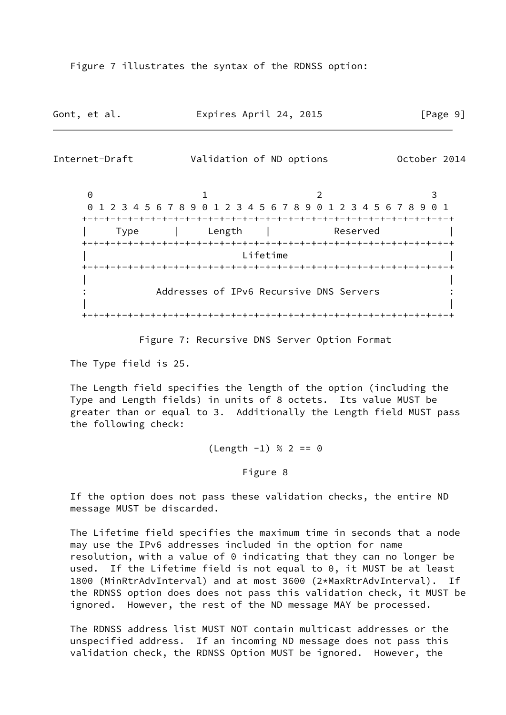Figure 7 illustrates the syntax of the RDNSS option:

| Gont, et al. | Expires April 24, 2015 | [Page 9] |
|--------------|------------------------|----------|
|--------------|------------------------|----------|

<span id="page-10-0"></span>

Figure 7: Recursive DNS Server Option Format

The Type field is 25.

 The Length field specifies the length of the option (including the Type and Length fields) in units of 8 octets. Its value MUST be greater than or equal to 3. Additionally the Length field MUST pass the following check:

 $(Length -1) % 2 == 0$ 

Figure 8

 If the option does not pass these validation checks, the entire ND message MUST be discarded.

 The Lifetime field specifies the maximum time in seconds that a node may use the IPv6 addresses included in the option for name resolution, with a value of 0 indicating that they can no longer be used. If the Lifetime field is not equal to 0, it MUST be at least 1800 (MinRtrAdvInterval) and at most 3600 (2\*MaxRtrAdvInterval). If the RDNSS option does does not pass this validation check, it MUST be ignored. However, the rest of the ND message MAY be processed.

 The RDNSS address list MUST NOT contain multicast addresses or the unspecified address. If an incoming ND message does not pass this validation check, the RDNSS Option MUST be ignored. However, the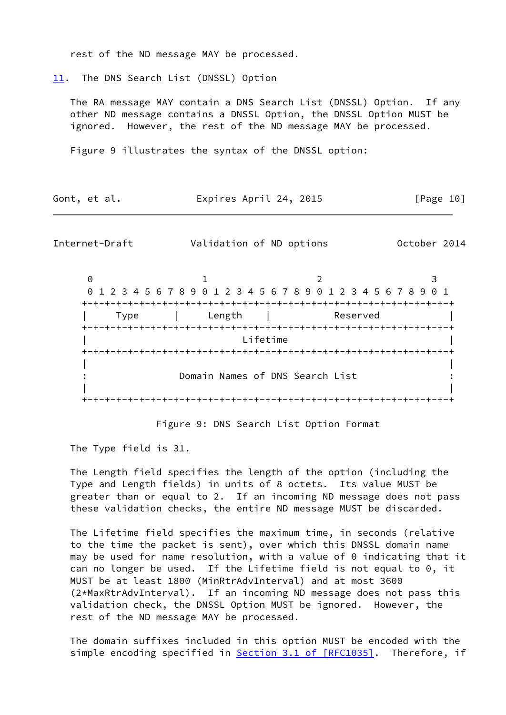rest of the ND message MAY be processed.

<span id="page-11-0"></span>[11.](#page-11-0) The DNS Search List (DNSSL) Option

 The RA message MAY contain a DNS Search List (DNSSL) Option. If any other ND message contains a DNSSL Option, the DNSSL Option MUST be ignored. However, the rest of the ND message MAY be processed.

Figure 9 illustrates the syntax of the DNSSL option:

| Gont, et al. | Expires April 24, 2015 | [Page 10] |
|--------------|------------------------|-----------|
|--------------|------------------------|-----------|

<span id="page-11-1"></span>Internet-Draft Validation of ND options October 2014

0 1 2 3 0 1 2 3 4 5 6 7 8 9 0 1 2 3 4 5 6 7 8 9 0 1 2 3 4 5 6 7 8 9 0 1 +-+-+-+-+-+-+-+-+-+-+-+-+-+-+-+-+-+-+-+-+-+-+-+-+-+-+-+-+-+-+-+-+ | Type | Length | Reserved | +-+-+-+-+-+-+-+-+-+-+-+-+-+-+-+-+-+-+-+-+-+-+-+-+-+-+-+-+-+-+-+-+ | Lifetime | +-+-+-+-+-+-+-+-+-+-+-+-+-+-+-+-+-+-+-+-+-+-+-+-+-+-+-+-+-+-+-+-+ | | Domain Names of DNS Search List | | +-+-+-+-+-+-+-+-+-+-+-+-+-+-+-+-+-+-+-+-+-+-+-+-+-+-+-+-+-+-+-+-+

Figure 9: DNS Search List Option Format

The Type field is 31.

 The Length field specifies the length of the option (including the Type and Length fields) in units of 8 octets. Its value MUST be greater than or equal to 2. If an incoming ND message does not pass these validation checks, the entire ND message MUST be discarded.

 The Lifetime field specifies the maximum time, in seconds (relative to the time the packet is sent), over which this DNSSL domain name may be used for name resolution, with a value of 0 indicating that it can no longer be used. If the Lifetime field is not equal to 0, it MUST be at least 1800 (MinRtrAdvInterval) and at most 3600 (2\*MaxRtrAdvInterval). If an incoming ND message does not pass this validation check, the DNSSL Option MUST be ignored. However, the rest of the ND message MAY be processed.

 The domain suffixes included in this option MUST be encoded with the simple encoding specified in **Section [3.1 of \[RFC1035\]](https://datatracker.ietf.org/doc/pdf/rfc1035#section-3.1)**. Therefore, if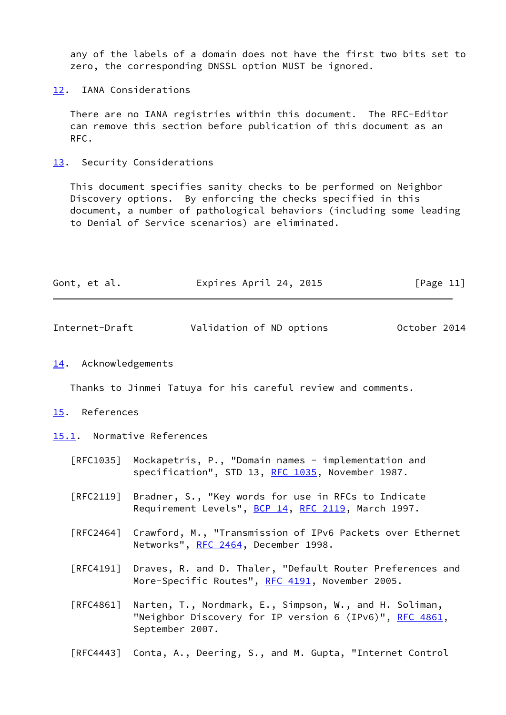any of the labels of a domain does not have the first two bits set to zero, the corresponding DNSSL option MUST be ignored.

<span id="page-12-0"></span>[12.](#page-12-0) IANA Considerations

 There are no IANA registries within this document. The RFC-Editor can remove this section before publication of this document as an RFC.

<span id="page-12-1"></span>[13.](#page-12-1) Security Considerations

 This document specifies sanity checks to be performed on Neighbor Discovery options. By enforcing the checks specified in this document, a number of pathological behaviors (including some leading to Denial of Service scenarios) are eliminated.

<span id="page-12-3"></span>

| Internet-Draft | Validation of ND options | October 2014 |
|----------------|--------------------------|--------------|
|----------------|--------------------------|--------------|

<span id="page-12-2"></span>[14.](#page-12-2) Acknowledgements

Thanks to Jinmei Tatuya for his careful review and comments.

#### <span id="page-12-4"></span>[15.](#page-12-4) References

<span id="page-12-5"></span>[15.1](#page-12-5). Normative References

- [RFC1035] Mockapetris, P., "Domain names implementation and specification", STD 13, [RFC 1035,](https://datatracker.ietf.org/doc/pdf/rfc1035) November 1987.
- [RFC2119] Bradner, S., "Key words for use in RFCs to Indicate Requirement Levels", [BCP 14](https://datatracker.ietf.org/doc/pdf/bcp14), [RFC 2119](https://datatracker.ietf.org/doc/pdf/rfc2119), March 1997.
- [RFC2464] Crawford, M., "Transmission of IPv6 Packets over Ethernet Networks", [RFC 2464](https://datatracker.ietf.org/doc/pdf/rfc2464), December 1998.
- [RFC4191] Draves, R. and D. Thaler, "Default Router Preferences and More-Specific Routes", [RFC 4191](https://datatracker.ietf.org/doc/pdf/rfc4191), November 2005.
- [RFC4861] Narten, T., Nordmark, E., Simpson, W., and H. Soliman, "Neighbor Discovery for IP version 6 (IPv6)", [RFC 4861](https://datatracker.ietf.org/doc/pdf/rfc4861), September 2007.

[RFC4443] Conta, A., Deering, S., and M. Gupta, "Internet Control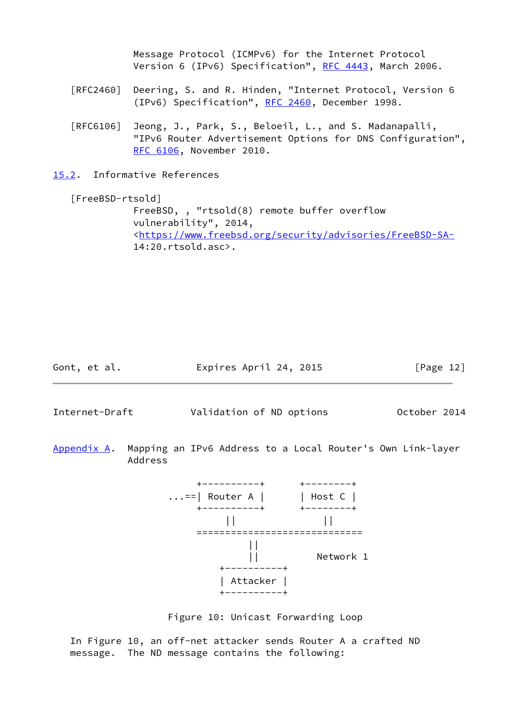Message Protocol (ICMPv6) for the Internet Protocol Version 6 (IPv6) Specification", [RFC 4443,](https://datatracker.ietf.org/doc/pdf/rfc4443) March 2006.

- [RFC2460] Deering, S. and R. Hinden, "Internet Protocol, Version 6 (IPv6) Specification", [RFC 2460](https://datatracker.ietf.org/doc/pdf/rfc2460), December 1998.
- [RFC6106] Jeong, J., Park, S., Beloeil, L., and S. Madanapalli, "IPv6 Router Advertisement Options for DNS Configuration", [RFC 6106,](https://datatracker.ietf.org/doc/pdf/rfc6106) November 2010.
- <span id="page-13-0"></span>[15.2](#page-13-0). Informative References

```
 [FreeBSD-rtsold]
FreeBSD, , "rtsold(8) remote buffer overflow
vulnerability", 2014,
<https://www.freebsd.org/security/advisories/FreeBSD-SA-
14:20.rtsold.asc>.
```

```
Gont, et al. Expires April 24, 2015 [Page 12]
```
<span id="page-13-2"></span>Internet-Draft Validation of ND options October 2014

<span id="page-13-1"></span>[Appendix A.](#page-13-1) Mapping an IPv6 Address to a Local Router's Own Link-layer Address



Figure 10: Unicast Forwarding Loop

 In Figure 10, an off-net attacker sends Router A a crafted ND message. The ND message contains the following: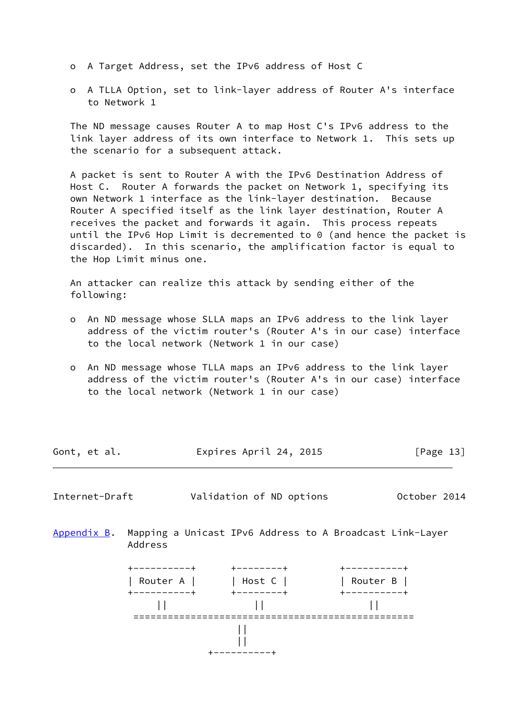- o A Target Address, set the IPv6 address of Host C
- o A TLLA Option, set to link-layer address of Router A's interface to Network 1

 The ND message causes Router A to map Host C's IPv6 address to the link layer address of its own interface to Network 1. This sets up the scenario for a subsequent attack.

 A packet is sent to Router A with the IPv6 Destination Address of Host C. Router A forwards the packet on Network 1, specifying its own Network 1 interface as the link-layer destination. Because Router A specified itself as the link layer destination, Router A receives the packet and forwards it again. This process repeats until the IPv6 Hop Limit is decremented to 0 (and hence the packet is discarded). In this scenario, the amplification factor is equal to the Hop Limit minus one.

 An attacker can realize this attack by sending either of the following:

- o An ND message whose SLLA maps an IPv6 address to the link layer address of the victim router's (Router A's in our case) interface to the local network (Network 1 in our case)
- o An ND message whose TLLA maps an IPv6 address to the link layer address of the victim router's (Router A's in our case) interface to the local network (Network 1 in our case)

| Gont, et al. | Expires April 24, 2015 | [Page 13] |
|--------------|------------------------|-----------|
|              |                        |           |

<span id="page-14-1"></span>Internet-Draft Validation of ND options October 2014

<span id="page-14-0"></span>[Appendix B.](#page-14-0) Mapping a Unicast IPv6 Address to A Broadcast Link-Layer Address

 +----------+ +--------+ +----------+ |<br>| Router A | | | Host C | +----------+ +--------+ +----------+  $||$   $||$  ================================================= || || +----------+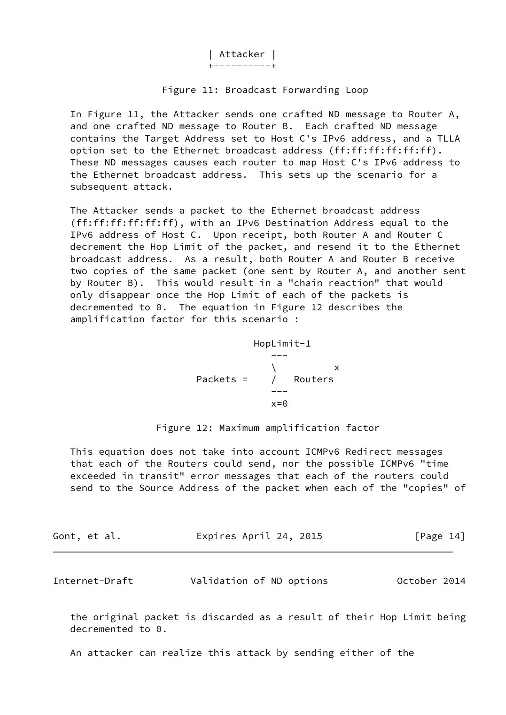| Attacker | +----------+

#### Figure 11: Broadcast Forwarding Loop

 In Figure 11, the Attacker sends one crafted ND message to Router A, and one crafted ND message to Router B. Each crafted ND message contains the Target Address set to Host C's IPv6 address, and a TLLA option set to the Ethernet broadcast address (ff:ff:ff:ff:ff:ff). These ND messages causes each router to map Host C's IPv6 address to the Ethernet broadcast address. This sets up the scenario for a subsequent attack.

 The Attacker sends a packet to the Ethernet broadcast address (ff:ff:ff:ff:ff:ff), with an IPv6 Destination Address equal to the IPv6 address of Host C. Upon receipt, both Router A and Router C decrement the Hop Limit of the packet, and resend it to the Ethernet broadcast address. As a result, both Router A and Router B receive two copies of the same packet (one sent by Router A, and another sent by Router B). This would result in a "chain reaction" that would only disappear once the Hop Limit of each of the packets is decremented to 0. The equation in Figure 12 describes the amplification factor for this scenario :

 HopLimit-1 ---  $\sqrt{ }$  x Packets = / Routers --  $x=0$ 

Figure 12: Maximum amplification factor

 This equation does not take into account ICMPv6 Redirect messages that each of the Routers could send, nor the possible ICMPv6 "time exceeded in transit" error messages that each of the routers could send to the Source Address of the packet when each of the "copies" of

| Gont, et al. | Expires April 24, 2015 | [Page 14] |
|--------------|------------------------|-----------|
|              |                        |           |

<span id="page-15-0"></span>Internet-Draft Validation of ND options October 2014

 the original packet is discarded as a result of their Hop Limit being decremented to 0.

An attacker can realize this attack by sending either of the